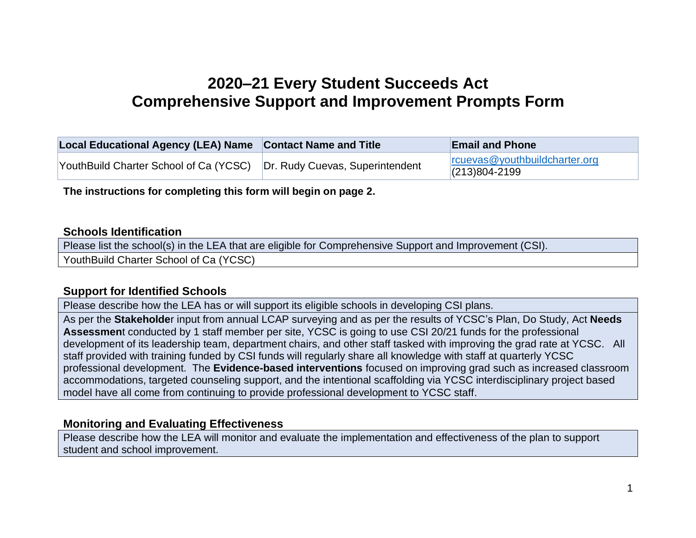## **2020–21 Every Student Succeeds Act Comprehensive Support and Improvement Prompts Form**

| Local Educational Agency (LEA) Name Contact Name and Title | <b>Email and Phone</b>                                  |
|------------------------------------------------------------|---------------------------------------------------------|
|                                                            | $ r$ cuevas@youthbuildcharter.org<br>$ (213)804 - 2199$ |

**The instructions for completing this form will begin on page 2.**

#### **Schools Identification**

Please list the school(s) in the LEA that are eligible for Comprehensive Support and Improvement (CSI).

YouthBuild Charter School of Ca (YCSC)

#### **Support for Identified Schools**

Please describe how the LEA has or will support its eligible schools in developing CSI plans.

As per the **Stakeholde**r input from annual LCAP surveying and as per the results of YCSC's Plan, Do Study, Act **Needs Assessmen**t conducted by 1 staff member per site, YCSC is going to use CSI 20/21 funds for the professional development of its leadership team, department chairs, and other staff tasked with improving the grad rate at YCSC. All staff provided with training funded by CSI funds will regularly share all knowledge with staff at quarterly YCSC professional development. The **Evidence-based interventions** focused on improving grad such as increased classroom accommodations, targeted counseling support, and the intentional scaffolding via YCSC interdisciplinary project based model have all come from continuing to provide professional development to YCSC staff.

### **Monitoring and Evaluating Effectiveness**

Please describe how the LEA will monitor and evaluate the implementation and effectiveness of the plan to support student and school improvement.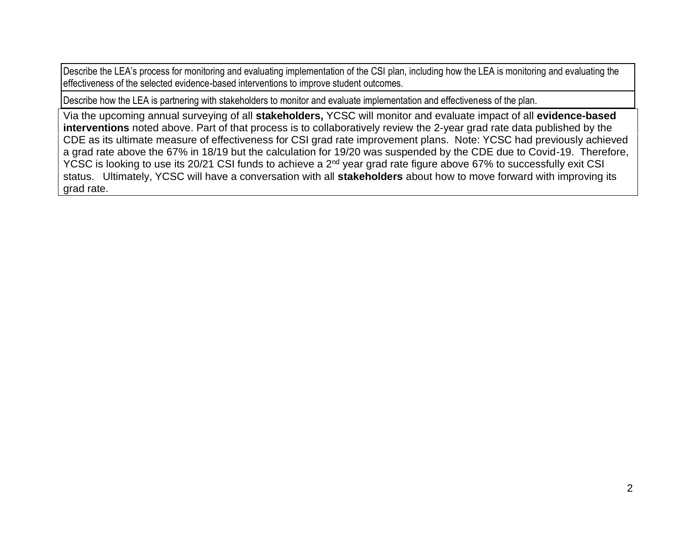Describe the LEA's process for monitoring and evaluating implementation of the CSI plan, including how the LEA is monitoring and evaluating the effectiveness of the selected evidence-based interventions to improve student outcomes.

Describe how the LEA is partnering with stakeholders to monitor and evaluate implementation and effectiveness of the plan.

Via the upcoming annual surveying of all **stakeholders,** YCSC will monitor and evaluate impact of all **evidence-based interventions** noted above. Part of that process is to collaboratively review the 2-year grad rate data published by the CDE as its ultimate measure of effectiveness for CSI grad rate improvement plans. Note: YCSC had previously achieved a grad rate above the 67% in 18/19 but the calculation for 19/20 was suspended by the CDE due to Covid-19. Therefore, YCSC is looking to use its 20/21 CSI funds to achieve a 2<sup>nd</sup> year grad rate figure above 67% to successfully exit CSI status. Ultimately, YCSC will have a conversation with all **stakeholders** about how to move forward with improving its grad rate.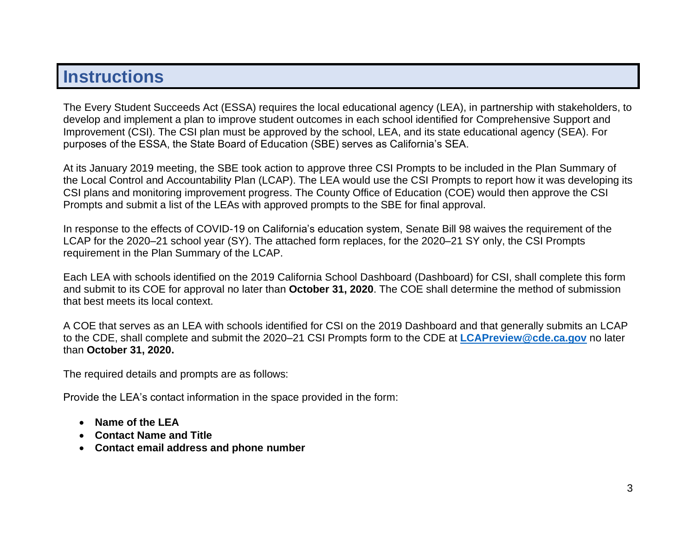# **Instructions**

The Every Student Succeeds Act (ESSA) requires the local educational agency (LEA), in partnership with stakeholders, to develop and implement a plan to improve student outcomes in each school identified for Comprehensive Support and Improvement (CSI). The CSI plan must be approved by the school, LEA, and its state educational agency (SEA). For purposes of the ESSA, the State Board of Education (SBE) serves as California's SEA.

At its January 2019 meeting, the SBE took action to approve three CSI Prompts to be included in the Plan Summary of the Local Control and Accountability Plan (LCAP). The LEA would use the CSI Prompts to report how it was developing its CSI plans and monitoring improvement progress. The County Office of Education (COE) would then approve the CSI Prompts and submit a list of the LEAs with approved prompts to the SBE for final approval.

In response to the effects of COVID-19 on California's education system, Senate Bill 98 waives the requirement of the LCAP for the 2020–21 school year (SY). The attached form replaces, for the 2020–21 SY only, the CSI Prompts requirement in the Plan Summary of the LCAP.

Each LEA with schools identified on the 2019 California School Dashboard (Dashboard) for CSI, shall complete this form and submit to its COE for approval no later than **October 31, 2020**. The COE shall determine the method of submission that best meets its local context.

A COE that serves as an LEA with schools identified for CSI on the 2019 Dashboard and that generally submits an LCAP to the CDE, shall complete and submit the 2020–21 CSI Prompts form to the CDE at **[LCAPreview@cde.ca.gov](mailto:LCAPreview@cde.ca.gov)** no later than **October 31, 2020.** 

The required details and prompts are as follows:

Provide the LEA's contact information in the space provided in the form:

- **Name of the LEA**
- **Contact Name and Title**
- **Contact email address and phone number**